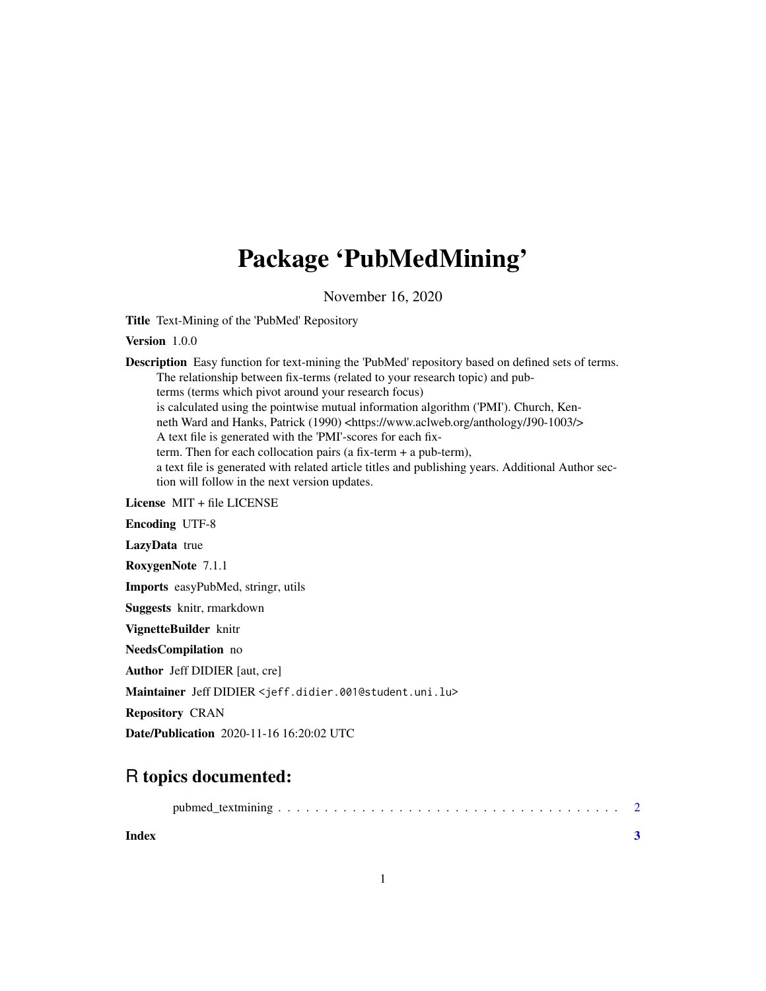## Package 'PubMedMining'

November 16, 2020

Title Text-Mining of the 'PubMed' Repository

Version 1.0.0

Description Easy function for text-mining the 'PubMed' repository based on defined sets of terms. The relationship between fix-terms (related to your research topic) and pubterms (terms which pivot around your research focus) is calculated using the pointwise mutual information algorithm ('PMI'). Church, Kenneth Ward and Hanks, Patrick (1990) <https://www.aclweb.org/anthology/J90-1003/> A text file is generated with the 'PMI'-scores for each fixterm. Then for each collocation pairs (a fix-term + a pub-term), a text file is generated with related article titles and publishing years. Additional Author section will follow in the next version updates. License MIT + file LICENSE Encoding UTF-8

LazyData true

RoxygenNote 7.1.1

Imports easyPubMed, stringr, utils

Suggests knitr, rmarkdown

VignetteBuilder knitr

NeedsCompilation no

Author Jeff DIDIER [aut, cre]

Maintainer Jeff DIDIER <jeff.didier.001@student.uni.lu>

Repository CRAN

Date/Publication 2020-11-16 16:20:02 UTC

### R topics documented:

|--|--|--|--|

**Index** [3](#page-2-0)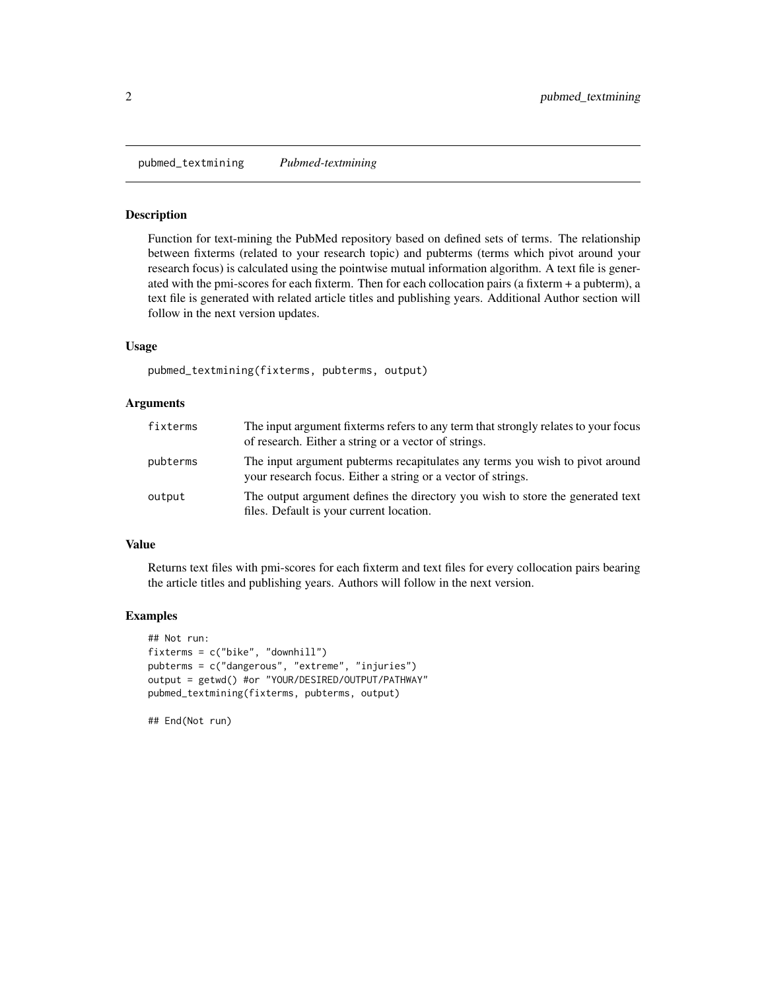<span id="page-1-0"></span>pubmed\_textmining *Pubmed-textmining*

#### Description

Function for text-mining the PubMed repository based on defined sets of terms. The relationship between fixterms (related to your research topic) and pubterms (terms which pivot around your research focus) is calculated using the pointwise mutual information algorithm. A text file is generated with the pmi-scores for each fixterm. Then for each collocation pairs (a fixterm + a pubterm), a text file is generated with related article titles and publishing years. Additional Author section will follow in the next version updates.

#### Usage

pubmed\_textmining(fixterms, pubterms, output)

#### Arguments

| fixterms | The input argument fixterms refers to any term that strongly relates to your focus<br>of research. Either a string or a vector of strings.   |
|----------|----------------------------------------------------------------------------------------------------------------------------------------------|
| pubterms | The input argument pubterms recapitulates any terms you wish to pivot around<br>your research focus. Either a string or a vector of strings. |
| output   | The output argument defines the directory you wish to store the generated text<br>files. Default is your current location.                   |

#### Value

Returns text files with pmi-scores for each fixterm and text files for every collocation pairs bearing the article titles and publishing years. Authors will follow in the next version.

#### Examples

```
## Not run:
fixterms = c("bike", "downhill")
pubterms = c("dangerous", "extreme", "injuries")
output = getwd() #or "YOUR/DESIRED/OUTPUT/PATHWAY"
pubmed_textmining(fixterms, pubterms, output)
```
## End(Not run)